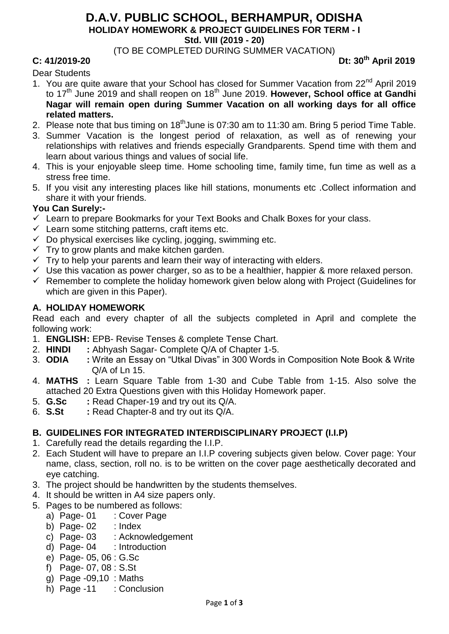#### **D.A.V. PUBLIC SCHOOL, BERHAMPUR, ODISHA HOLIDAY HOMEWORK & PROJECT GUIDELINES FOR TERM - I**

**Std. VIII (2019 - 20)**

(TO BE COMPLETED DURING SUMMER VACATION)

### **C: 41/2019-20 Dt: 30th April 2019**

Dear Students

- 1. You are quite aware that your School has closed for Summer Vacation from 22<sup>nd</sup> April 2019 to 17<sup>th</sup> June 2019 and shall reopen on 18<sup>th</sup> June 2019. However, School office at Gandhi **Nagar will remain open during Summer Vacation on all working days for all office related matters.**
- 2. Please note that bus timing on 18<sup>th</sup> June is 07:30 am to 11:30 am. Bring 5 period Time Table.
- 3. Summer Vacation is the longest period of relaxation, as well as of renewing your relationships with relatives and friends especially Grandparents. Spend time with them and learn about various things and values of social life.
- 4. This is your enjoyable sleep time. Home schooling time, family time, fun time as well as a stress free time.
- 5. If you visit any interesting places like hill stations, monuments etc .Collect information and share it with your friends.

#### **You Can Surely:-**

- $\checkmark$  Learn to prepare Bookmarks for your Text Books and Chalk Boxes for your class.
- $\checkmark$  Learn some stitching patterns, craft items etc.
- $\checkmark$  Do physical exercises like cycling, jogging, swimming etc.
- $\checkmark$  Try to grow plants and make kitchen garden.
- $\checkmark$  Try to help your parents and learn their way of interacting with elders.
- $\checkmark$  Use this vacation as power charger, so as to be a healthier, happier & more relaxed person.
- $\checkmark$  Remember to complete the holiday homework given below along with Project (Guidelines for which are given in this Paper).

#### **A. HOLIDAY HOMEWORK**

Read each and every chapter of all the subjects completed in April and complete the following work:

- 1. **ENGLISH:** EPB- Revise Tenses & complete Tense Chart.
- 2. **HINDI :** Abhyash Sagar- Complete Q/A of Chapter 1-5.
- 3. **ODIA :** Write an Essay on "Utkal Divas" in 300 Words in Composition Note Book & Write Q/A of Ln 15.
- 4. **MATHS :** Learn Square Table from 1-30 and Cube Table from 1-15. Also solve the attached 20 Extra Questions given with this Holiday Homework paper.
- 5. **G.Sc :** Read Chaper-19 and try out its Q/A.
- 6. **S.St :** Read Chapter-8 and try out its Q/A.

# **B. GUIDELINES FOR INTEGRATED INTERDISCIPLINARY PROJECT (I.I.P)**

- 1. Carefully read the details regarding the I.I.P.
- 2. Each Student will have to prepare an I.I.P covering subjects given below. Cover page: Your name, class, section, roll no. is to be written on the cover page aesthetically decorated and eye catching.
- 3. The project should be handwritten by the students themselves.
- 4. It should be written in A4 size papers only.
- 5. Pages to be numbered as follows:
	- a) Page- 01 : Cover Page
	- b) Page- $02$  : Index
	- c) Page- 03 : Acknowledgement
	- d) Page- 04 : Introduction
	- e) Page- 05, 06 : G.Sc
	- f) Page- 07, 08 : S.St
	- g) Page -09,10 : Maths
	- h) Page -11 : Conclusion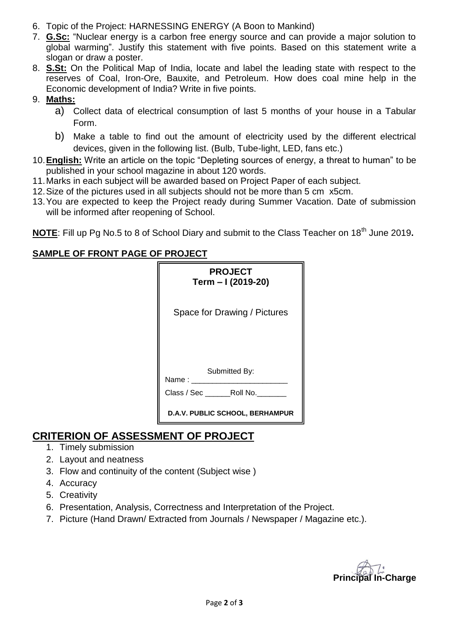- 6. Topic of the Project: HARNESSING ENERGY (A Boon to Mankind)
- 7. **G.Sc:** "Nuclear energy is a carbon free energy source and can provide a major solution to global warming". Justify this statement with five points. Based on this statement write a slogan or draw a poster.
- 8. **S.St:** On the Political Map of India, locate and label the leading state with respect to the reserves of Coal, Iron-Ore, Bauxite, and Petroleum. How does coal mine help in the Economic development of India? Write in five points.

### 9. **Maths:**

- a) Collect data of electrical consumption of last 5 months of your house in a Tabular Form.
- b) Make a table to find out the amount of electricity used by the different electrical devices, given in the following list. (Bulb, Tube-light, LED, fans etc.)
- 10.**English:** Write an article on the topic "Depleting sources of energy, a threat to human" to be published in your school magazine in about 120 words.
- 11.Marks in each subject will be awarded based on Project Paper of each subject.
- 12.Size of the pictures used in all subjects should not be more than 5 cm x5cm.
- 13.You are expected to keep the Project ready during Summer Vacation. Date of submission will be informed after reopening of School.

**NOTE:** Fill up Pg No.5 to 8 of School Diary and submit to the Class Teacher on 18<sup>th</sup> June 2019.

# **SAMPLE OF FRONT PAGE OF PROJECT**

| <b>PROJECT</b><br>Term - I (2019-20) |
|--------------------------------------|
| Space for Drawing / Pictures         |
|                                      |
| Submitted By:<br>Name:               |
| Class / Sec Roll No.                 |
| D.A.V. PUBLIC SCHOOL, BERHAMPUR      |

# **CRITERION OF ASSESSMENT OF PROJECT**

- 1. Timely submission
- 2. Layout and neatness
- 3. Flow and continuity of the content (Subject wise )
- 4. Accuracy
- 5. Creativity
- 6. Presentation, Analysis, Correctness and Interpretation of the Project.
- 7. Picture (Hand Drawn/ Extracted from Journals / Newspaper / Magazine etc.).